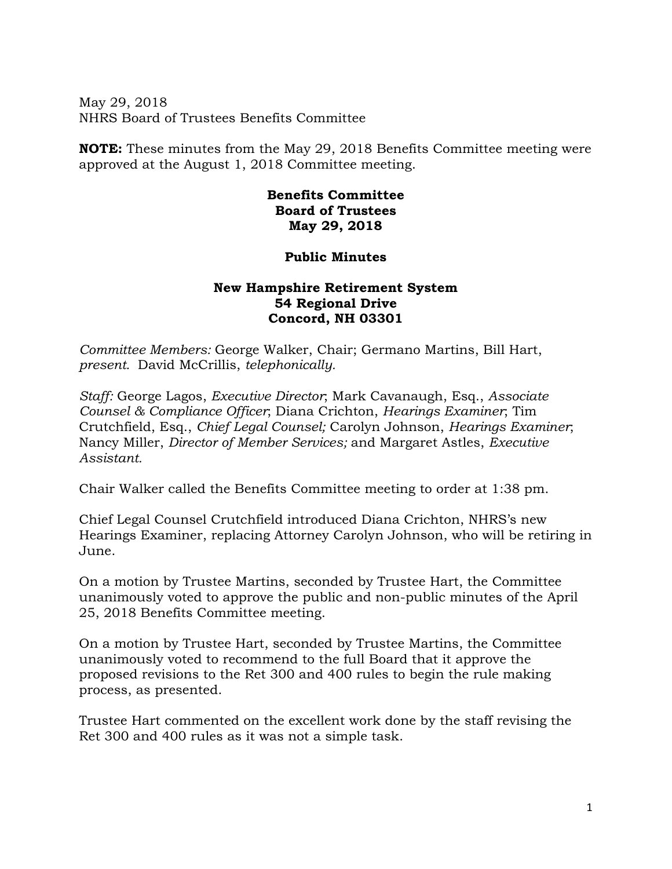May 29, 2018 NHRS Board of Trustees Benefits Committee

**NOTE:** These minutes from the May 29, 2018 Benefits Committee meeting were approved at the August 1, 2018 Committee meeting.

## **Benefits Committee Board of Trustees May 29, 2018**

## **Public Minutes**

## **New Hampshire Retirement System 54 Regional Drive Concord, NH 03301**

*Committee Members:* George Walker, Chair; Germano Martins, Bill Hart, *present.* David McCrillis, *telephonically.* 

*Staff:* George Lagos, *Executive Director*; Mark Cavanaugh, Esq., *Associate Counsel & Compliance Officer*; Diana Crichton, *Hearings Examiner*; Tim Crutchfield, Esq., *Chief Legal Counsel;* Carolyn Johnson, *Hearings Examiner*; Nancy Miller, *Director of Member Services;* and Margaret Astles, *Executive Assistant.* 

Chair Walker called the Benefits Committee meeting to order at 1:38 pm.

Chief Legal Counsel Crutchfield introduced Diana Crichton, NHRS's new Hearings Examiner, replacing Attorney Carolyn Johnson, who will be retiring in June.

On a motion by Trustee Martins, seconded by Trustee Hart, the Committee unanimously voted to approve the public and non-public minutes of the April 25, 2018 Benefits Committee meeting.

On a motion by Trustee Hart, seconded by Trustee Martins, the Committee unanimously voted to recommend to the full Board that it approve the proposed revisions to the Ret 300 and 400 rules to begin the rule making process, as presented.

Trustee Hart commented on the excellent work done by the staff revising the Ret 300 and 400 rules as it was not a simple task.